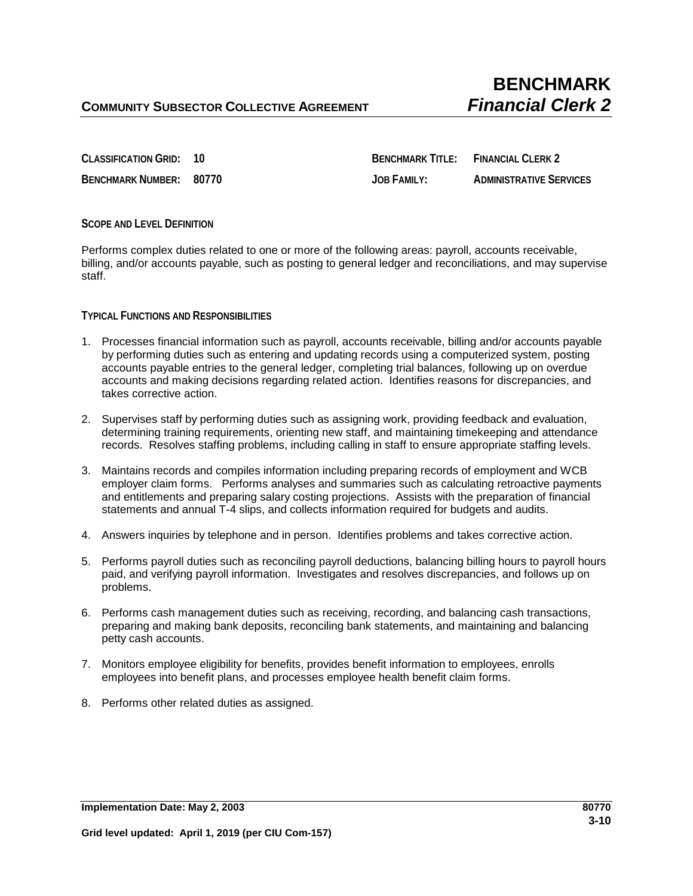**CLASSIFICATION GRID: 10 BENCHMARK TITLE: FINANCIAL CLERK 2 BENCHMARK NUMBER: 80770 JOB FAMILY: ADMINISTRATIVE SERVICES**

## **SCOPE AND LEVEL DEFINITION**

Performs complex duties related to one or more of the following areas: payroll, accounts receivable, billing, and/or accounts payable, such as posting to general ledger and reconciliations, and may supervise staff.

## **TYPICAL FUNCTIONS AND RESPONSIBILITIES**

- 1. Processes financial information such as payroll, accounts receivable, billing and/or accounts payable by performing duties such as entering and updating records using a computerized system, posting accounts payable entries to the general ledger, completing trial balances, following up on overdue accounts and making decisions regarding related action. Identifies reasons for discrepancies, and takes corrective action.
- 2. Supervises staff by performing duties such as assigning work, providing feedback and evaluation, determining training requirements, orienting new staff, and maintaining timekeeping and attendance records. Resolves staffing problems, including calling in staff to ensure appropriate staffing levels.
- 3. Maintains records and compiles information including preparing records of employment and WCB employer claim forms. Performs analyses and summaries such as calculating retroactive payments and entitlements and preparing salary costing projections. Assists with the preparation of financial statements and annual T-4 slips, and collects information required for budgets and audits.
- 4. Answers inquiries by telephone and in person. Identifies problems and takes corrective action.
- 5. Performs payroll duties such as reconciling payroll deductions, balancing billing hours to payroll hours paid, and verifying payroll information. Investigates and resolves discrepancies, and follows up on problems.
- 6. Performs cash management duties such as receiving, recording, and balancing cash transactions, preparing and making bank deposits, reconciling bank statements, and maintaining and balancing petty cash accounts.
- 7. Monitors employee eligibility for benefits, provides benefit information to employees, enrolls employees into benefit plans, and processes employee health benefit claim forms.
- 8. Performs other related duties as assigned.